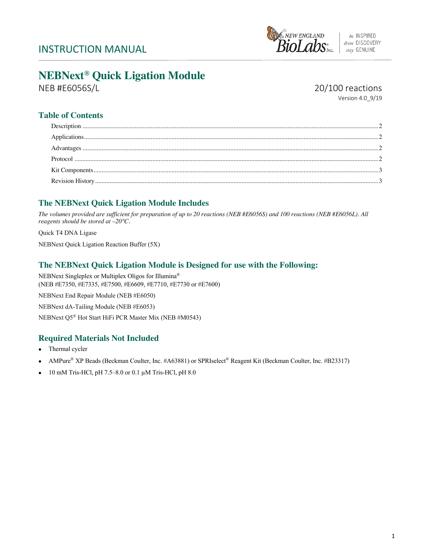

# **NEBNext® Quick Ligation Module**

NEB #E6056S/L 20/100 reactions

Version 4.0\_9/19

# **Table of Contents**

# **The NEBNext Quick Ligation Module Includes**

*The volumes provided are sufficient for preparation of up to 20 reactions (NEB #E6056S) and 100 reactions (NEB #E6056L). All reagents should be stored at –20°C.* 

Quick T4 DNA Ligase NEBNext Quick Ligation Reaction Buffer (5X)

## **The NEBNext Quick Ligation Module is Designed for use with the Following:**

NEBNext Singleplex or Multiplex Oligos for Illumina® (NEB #E7350, #E7335, #E7500, #E6609, #E7710, #E7730 or #E7600) NEBNext End Repair Module (NEB #E6050) NEBNext dA-Tailing Module (NEB #E6053) NEBNext Q5® Hot Start HiFi PCR Master Mix (NEB #M0543)

## **Required Materials Not Included**

- Thermal cycler
- AMPure® XP Beads (Beckman Coulter, Inc. #A63881) or SPRIselect® Reagent Kit (Beckman Coulter, Inc. #B23317)
- 10 mM Tris-HCl, pH 7.5–8.0 or 0.1 µM Tris-HCl, pH 8.0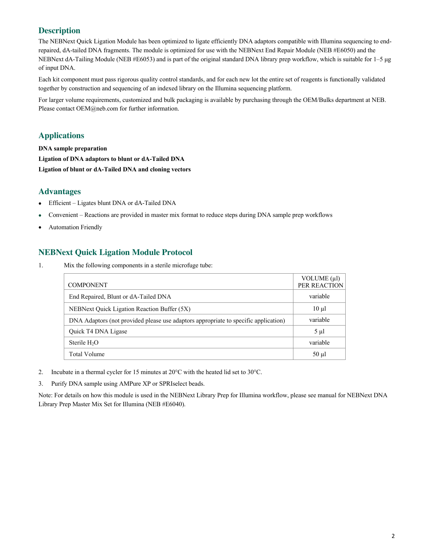# **Description**

The NEBNext Quick Ligation Module has been optimized to ligate efficiently DNA adaptors compatible with Illumina sequencing to endrepaired, dA-tailed DNA fragments. The module is optimized for use with the NEBNext End Repair Module (NEB #E6050) and the NEBNext dA-Tailing Module (NEB #E6053) and is part of the original standard DNA library prep workflow, which is suitable for 1–5 μg of input DNA.

Each kit component must pass rigorous quality control standards, and for each new lot the entire set of reagents is functionally validated together by construction and sequencing of an indexed library on the Illumina sequencing platform.

For larger volume requirements, customized and bulk packaging is available by purchasing through the OEM/Bulks department at NEB. Please contact OEM@neb.com for further information.

## **Applications**

**DNA sample preparation Ligation of DNA adaptors to blunt or dA-Tailed DNA Ligation of blunt or dA-Tailed DNA and cloning vectors**

#### **Advantages**

- Efficient Ligates blunt DNA or dA-Tailed DNA
- Convenient Reactions are provided in master mix format to reduce steps during DNA sample prep workflows
- Automation Friendly

## **NEBNext Quick Ligation Module Protocol**

1. Mix the following components in a sterile microfuge tube:

| <b>COMPONENT</b>                                                                    | VOLUME $(\mu\text{l})$<br>PER REACTION |
|-------------------------------------------------------------------------------------|----------------------------------------|
| End Repaired, Blunt or dA-Tailed DNA                                                | variable                               |
| NEBNext Quick Ligation Reaction Buffer (5X)                                         | $10 \mu l$                             |
| DNA Adaptors (not provided please use adaptors appropriate to specific application) | variable                               |
| Quick T4 DNA Ligase                                                                 | $5 \mu l$                              |
| Sterile H <sub>2</sub> O                                                            | variable                               |
| Total Volume                                                                        | $50 \mu l$                             |

- 2. Incubate in a thermal cycler for 15 minutes at 20°C with the heated lid set to 30°C.
- 3. Purify DNA sample using AMPure XP or SPRIselect beads.

Note: For details on how this module is used in the NEBNext Library Prep for Illumina workflow, please see manual for NEBNext DNA Library Prep Master Mix Set for Illumina (NEB #E6040).